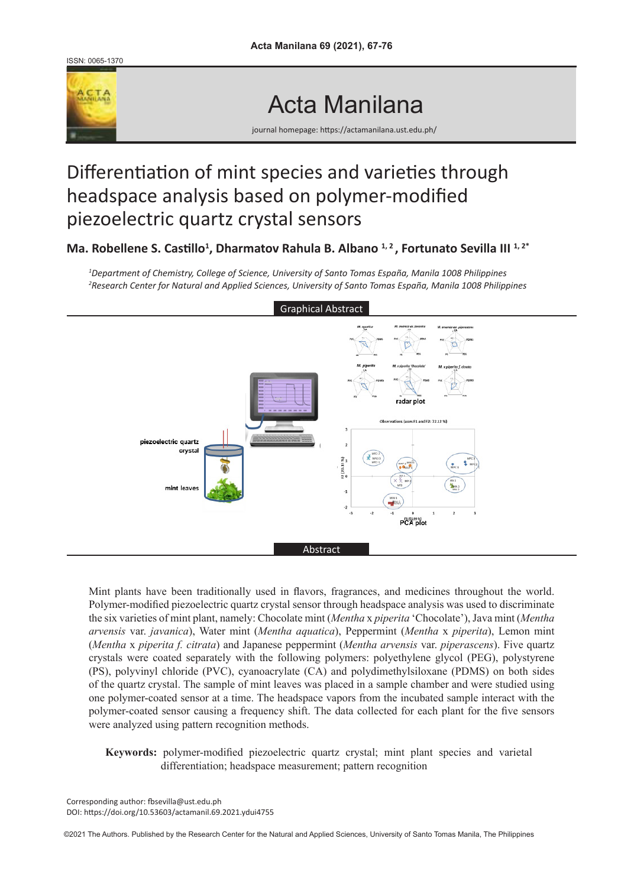ISSN: 0065-1370



Acta Manilana

journal homepage: https://actamanilana.ust.edu.ph/

# Differentiation of mint species and varieties through headspace analysis based on polymer-modified piezoelectric quartz crystal sensors

Ma. Robellene S. Castillo<sup>1</sup>, Dharmatov Rahula B. Albano <sup>1, 2</sup>, Fortunato Sevilla III <sup>1, 2\*</sup>

*1 Department of Chemistry, College of Science, University of Santo Tomas España, Manila 1008 Philippines 2 Research Center for Natural and Applied Sciences, University of Santo Tomas España, Manila 1008 Philippines*



Mint plants have been traditionally used in flavors, fragrances, and medicines throughout the world. Polymer-modified piezoelectric quartz crystal sensor through headspace analysis was used to discriminate the six varieties of mint plant, namely: Chocolate mint (*Mentha* x *piperita* 'Chocolate'), Java mint (*Mentha arvensis* var. *javanica*), Water mint (*Mentha aquatica*), Peppermint (*Mentha* x *piperita*), Lemon mint (*Mentha* x *piperita f. citrata*) and Japanese peppermint (*Mentha arvensis* var. *piperascens*). Five quartz crystals were coated separately with the following polymers: polyethylene glycol (PEG), polystyrene (PS), polyvinyl chloride (PVC), cyanoacrylate (CA) and polydimethylsiloxane (PDMS) on both sides of the quartz crystal. The sample of mint leaves was placed in a sample chamber and were studied using one polymer-coated sensor at a time. The headspace vapors from the incubated sample interact with the polymer-coated sensor causing a frequency shift. The data collected for each plant for the five sensors were analyzed using pattern recognition methods.

**Keywords:** polymer-modified piezoelectric quartz crystal; mint plant species and varietal differentiation; headspace measurement; pattern recognition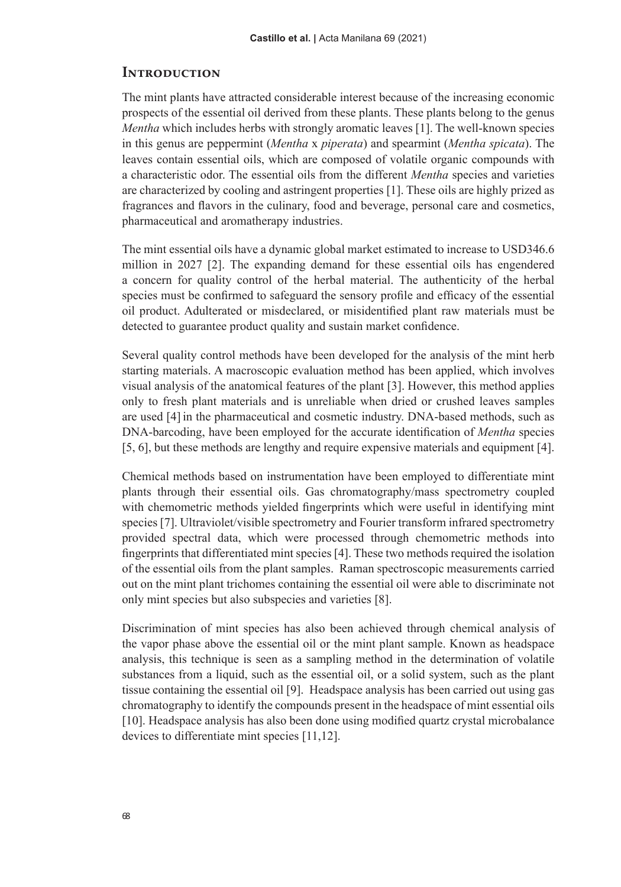#### **Introduction**

The mint plants have attracted considerable interest because of the increasing economic prospects of the essential oil derived from these plants. These plants belong to the genus *Mentha* which includes herbs with strongly aromatic leaves [1]. The well-known species in this genus are peppermint (*Mentha* x *piperata*) and spearmint (*Mentha spicata*). The leaves contain essential oils, which are composed of volatile organic compounds with a characteristic odor. The essential oils from the different *Mentha* species and varieties are characterized by cooling and astringent properties [1]. These oils are highly prized as fragrances and flavors in the culinary, food and beverage, personal care and cosmetics, pharmaceutical and aromatherapy industries.

The mint essential oils have a dynamic global market estimated to increase to USD346.6 million in 2027 [2]. The expanding demand for these essential oils has engendered a concern for quality control of the herbal material. The authenticity of the herbal species must be confirmed to safeguard the sensory profile and efficacy of the essential oil product. Adulterated or misdeclared, or misidentified plant raw materials must be detected to guarantee product quality and sustain market confidence.

Several quality control methods have been developed for the analysis of the mint herb starting materials. A macroscopic evaluation method has been applied, which involves visual analysis of the anatomical features of the plant [3]. However, this method applies only to fresh plant materials and is unreliable when dried or crushed leaves samples are used [4]in the pharmaceutical and cosmetic industry. DNA-based methods, such as DNA-barcoding, have been employed for the accurate identification of *Mentha* species [5, 6], but these methods are lengthy and require expensive materials and equipment [4].

Chemical methods based on instrumentation have been employed to differentiate mint plants through their essential oils. Gas chromatography/mass spectrometry coupled with chemometric methods yielded fingerprints which were useful in identifying mint species [7]. Ultraviolet/visible spectrometry and Fourier transform infrared spectrometry provided spectral data, which were processed through chemometric methods into fingerprints that differentiated mint species [4]. These two methods required the isolation of the essential oils from the plant samples. Raman spectroscopic measurements carried out on the mint plant trichomes containing the essential oil were able to discriminate not only mint species but also subspecies and varieties [8].

Discrimination of mint species has also been achieved through chemical analysis of the vapor phase above the essential oil or the mint plant sample. Known as headspace analysis, this technique is seen as a sampling method in the determination of volatile substances from a liquid, such as the essential oil, or a solid system, such as the plant tissue containing the essential oil [9]. Headspace analysis has been carried out using gas chromatography to identify the compounds present in the headspace of mint essential oils [10]. Headspace analysis has also been done using modified quartz crystal microbalance devices to differentiate mint species [11,12].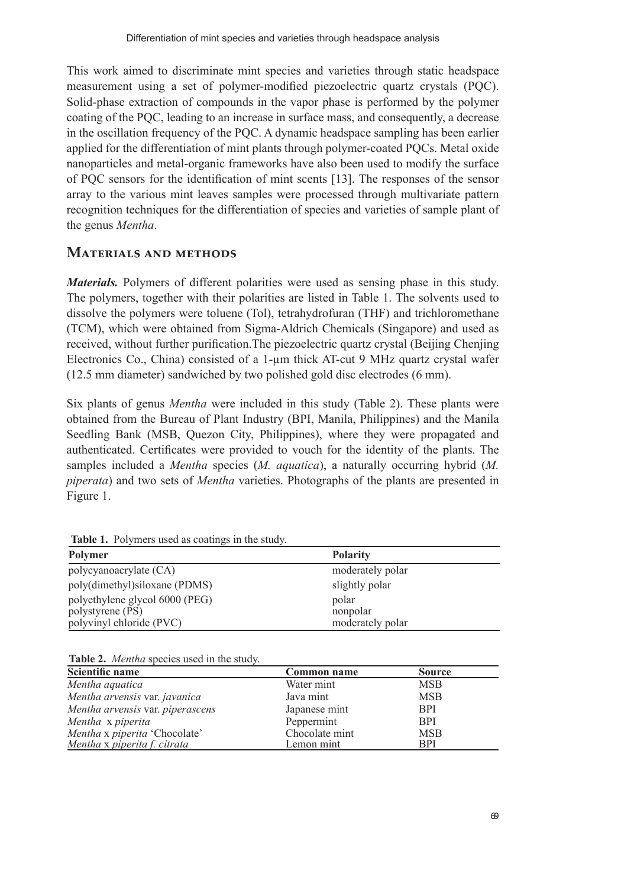This work aimed to discriminate mint species and varieties through static headspace measurement using a set of polymer-modified piezoelectric quartz crystals (PQC). Solid-phase extraction of compounds in the vapor phase is performed by the polymer coating of the PQC, leading to an increase in surface mass, and consequently, a decrease in the oscillation frequency of the PQC. A dynamic headspace sampling has been earlier applied for the differentiation of mint plants through polymer-coated PQCs. Metal oxide nanoparticles and metal-organic frameworks have also been used to modify the surface of PQC sensors for the identification of mint scents [13]. The responses of the sensor array to the various mint leaves samples were processed through multivariate pattern recognition techniques for the differentiation of species and varieties of sample plant of the genus *Mentha*.

#### **Materials and methods**

*Materials.* Polymers of different polarities were used as sensing phase in this study. The polymers, together with their polarities are listed in Table 1. The solvents used to dissolve the polymers were toluene (Tol), tetrahydrofuran (THF) and trichloromethane (TCM), which were obtained from Sigma-Aldrich Chemicals (Singapore) and used as received, without further purification.The piezoelectric quartz crystal (Beijing Chenjing Electronics Co., China) consisted of a 1-µm thick AT-cut 9 MHz quartz crystal wafer (12.5 mm diameter) sandwiched by two polished gold disc electrodes (6 mm).

Six plants of genus *Mentha* were included in this study (Table 2). These plants were obtained from the Bureau of Plant Industry (BPI, Manila, Philippines) and the Manila Seedling Bank (MSB, Quezon City, Philippines), where they were propagated and authenticated. Certificates were provided to vouch for the identity of the plants. The samples included a *Mentha* species (*M. aquatica*), a naturally occurring hybrid (*M. piperata*) and two sets of *Mentha* varieties. Photographs of the plants are presented in Figure 1.

| Polymer                        | <b>Polarity</b>  |
|--------------------------------|------------------|
| polycyanoacrylate (CA)         | moderately polar |
| poly(dimethyl)siloxane (PDMS)  | slightly polar   |
| polyethylene glycol 6000 (PEG) | polar            |
| polystyrene (PS)               | nonpolar         |
| polyvinyl chloride (PVC)       | moderately polar |

**Table 1.** Polymers used as coatings in the study.

**Table 2.** *Mentha* species used in the study.

| Scientific name                  | Common name    | <b>Source</b> |
|----------------------------------|----------------|---------------|
| Mentha aquatica                  | Water mint     | <b>MSB</b>    |
| Mentha arvensis var. javanica    | Java mint      | <b>MSB</b>    |
| Mentha arvensis var. piperascens | Japanese mint  | <b>BPI</b>    |
| Mentha x piperita                | Peppermint     | <b>BPI</b>    |
| Mentha x piperita 'Chocolate'    | Chocolate mint | <b>MSB</b>    |
| Mentha x piperita f. citrata     | Lemon mint     | <b>BPI</b>    |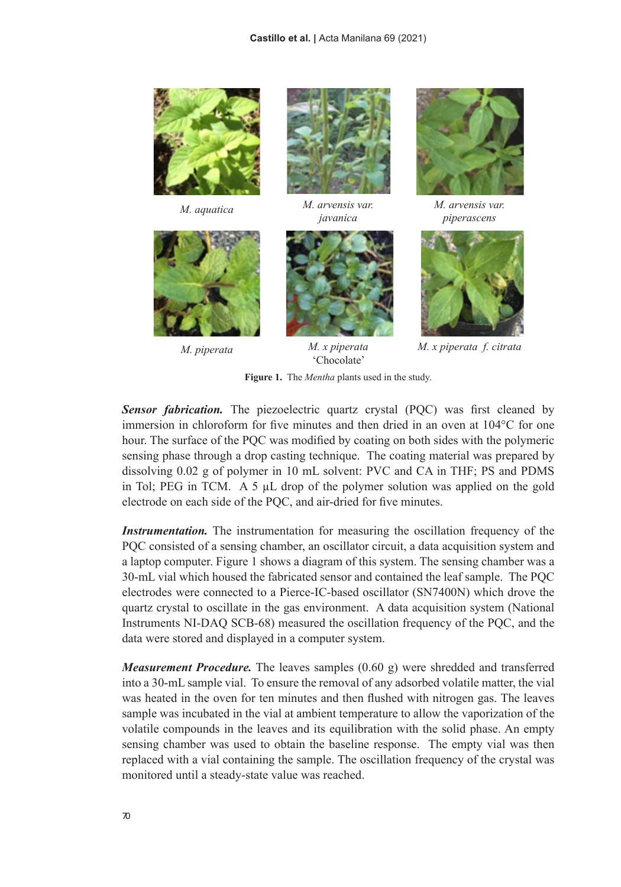





*M. aquatica M. arvensis var. javanica*



*M. piperata M. x piperata*  'Chocolate'



*M. arvensis var. piperascens*



*M. x piperata f. citrata*

**Figure 1.** The *Mentha* plants used in the study.

**Sensor fabrication.** The piezoelectric quartz crystal (PQC) was first cleaned by immersion in chloroform for five minutes and then dried in an oven at 104°C for one hour. The surface of the PQC was modified by coating on both sides with the polymeric sensing phase through a drop casting technique. The coating material was prepared by dissolving 0.02 g of polymer in 10 mL solvent: PVC and CA in THF; PS and PDMS in Tol; PEG in TCM. A 5  $\mu$ L drop of the polymer solution was applied on the gold electrode on each side of the PQC, and air-dried for five minutes.

*Instrumentation.* The instrumentation for measuring the oscillation frequency of the PQC consisted of a sensing chamber, an oscillator circuit, a data acquisition system and a laptop computer. Figure 1 shows a diagram of this system. The sensing chamber was a 30-mL vial which housed the fabricated sensor and contained the leaf sample. The PQC electrodes were connected to a Pierce-IC-based oscillator (SN7400N) which drove the quartz crystal to oscillate in the gas environment. A data acquisition system (National Instruments NI-DAQ SCB-68) measured the oscillation frequency of the PQC, and the data were stored and displayed in a computer system.

*Measurement Procedure.* The leaves samples (0.60 g) were shredded and transferred into a 30-mL sample vial. To ensure the removal of any adsorbed volatile matter, the vial was heated in the oven for ten minutes and then flushed with nitrogen gas. The leaves sample was incubated in the vial at ambient temperature to allow the vaporization of the volatile compounds in the leaves and its equilibration with the solid phase. An empty sensing chamber was used to obtain the baseline response. The empty vial was then replaced with a vial containing the sample. The oscillation frequency of the crystal was monitored until a steady-state value was reached.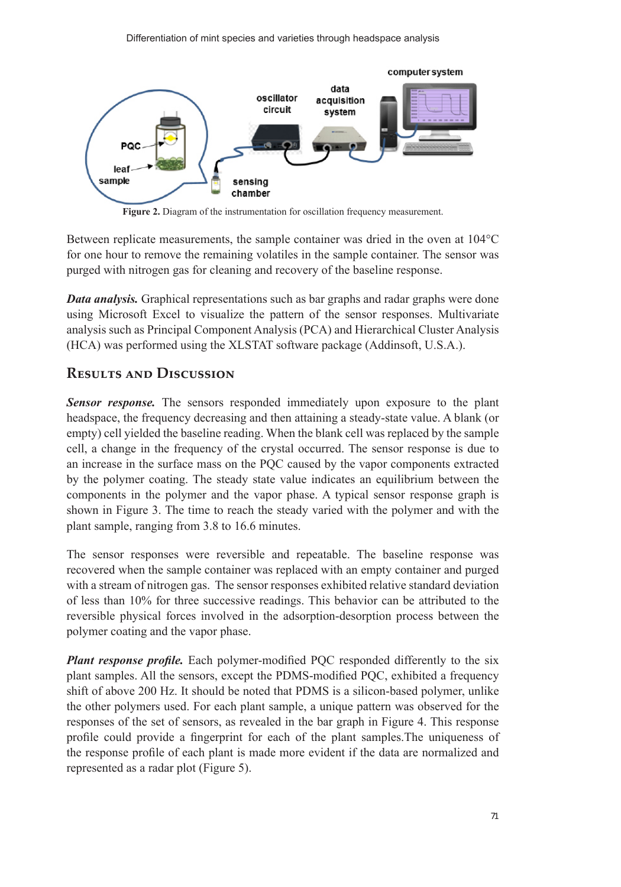

**Figure 2.** Diagram of the instrumentation for oscillation frequency measurement.

Between replicate measurements, the sample container was dried in the oven at 104°C for one hour to remove the remaining volatiles in the sample container. The sensor was purged with nitrogen gas for cleaning and recovery of the baseline response.

*Data analysis.* Graphical representations such as bar graphs and radar graphs were done using Microsoft Excel to visualize the pattern of the sensor responses. Multivariate analysis such as Principal Component Analysis (PCA) and Hierarchical Cluster Analysis (HCA) was performed using the XLSTAT software package (Addinsoft, U.S.A.).

#### **Results and Discussion**

*Sensor response.* The sensors responded immediately upon exposure to the plant headspace, the frequency decreasing and then attaining a steady-state value. A blank (or empty) cell yielded the baseline reading. When the blank cell was replaced by the sample cell, a change in the frequency of the crystal occurred. The sensor response is due to an increase in the surface mass on the PQC caused by the vapor components extracted by the polymer coating. The steady state value indicates an equilibrium between the components in the polymer and the vapor phase. A typical sensor response graph is shown in Figure 3. The time to reach the steady varied with the polymer and with the plant sample, ranging from 3.8 to 16.6 minutes.

The sensor responses were reversible and repeatable. The baseline response was recovered when the sample container was replaced with an empty container and purged with a stream of nitrogen gas. The sensor responses exhibited relative standard deviation of less than 10% for three successive readings. This behavior can be attributed to the reversible physical forces involved in the adsorption-desorption process between the polymer coating and the vapor phase.

*Plant response profile.* Each polymer-modified PQC responded differently to the six plant samples. All the sensors, except the PDMS-modified PQC, exhibited a frequency shift of above 200 Hz. It should be noted that PDMS is a silicon-based polymer, unlike the other polymers used. For each plant sample, a unique pattern was observed for the responses of the set of sensors, as revealed in the bar graph in Figure 4. This response profile could provide a fingerprint for each of the plant samples.The uniqueness of the response profile of each plant is made more evident if the data are normalized and represented as a radar plot (Figure 5).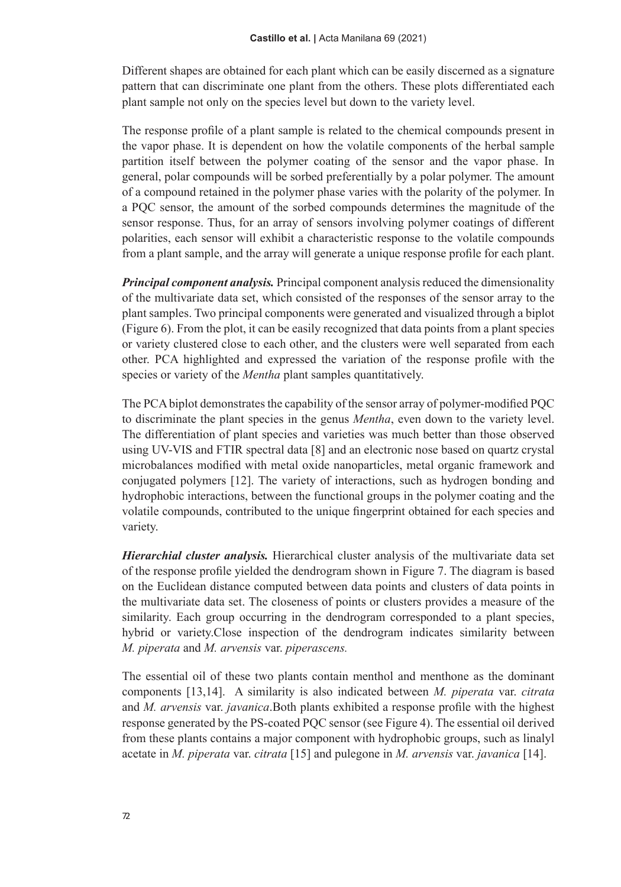Different shapes are obtained for each plant which can be easily discerned as a signature pattern that can discriminate one plant from the others. These plots differentiated each plant sample not only on the species level but down to the variety level.

The response profile of a plant sample is related to the chemical compounds present in the vapor phase. It is dependent on how the volatile components of the herbal sample partition itself between the polymer coating of the sensor and the vapor phase. In general, polar compounds will be sorbed preferentially by a polar polymer. The amount of a compound retained in the polymer phase varies with the polarity of the polymer. In a PQC sensor, the amount of the sorbed compounds determines the magnitude of the sensor response. Thus, for an array of sensors involving polymer coatings of different polarities, each sensor will exhibit a characteristic response to the volatile compounds from a plant sample, and the array will generate a unique response profile for each plant.

*Principal component analysis.* Principal component analysis reduced the dimensionality of the multivariate data set, which consisted of the responses of the sensor array to the plant samples. Two principal components were generated and visualized through a biplot (Figure 6). From the plot, it can be easily recognized that data points from a plant species or variety clustered close to each other, and the clusters were well separated from each other. PCA highlighted and expressed the variation of the response profile with the species or variety of the *Mentha* plant samples quantitatively.

The PCA biplot demonstrates the capability of the sensor array of polymer-modified PQC to discriminate the plant species in the genus *Mentha*, even down to the variety level. The differentiation of plant species and varieties was much better than those observed using UV-VIS and FTIR spectral data [8] and an electronic nose based on quartz crystal microbalances modified with metal oxide nanoparticles, metal organic framework and conjugated polymers [12]. The variety of interactions, such as hydrogen bonding and hydrophobic interactions, between the functional groups in the polymer coating and the volatile compounds, contributed to the unique fingerprint obtained for each species and variety.

*Hierarchial cluster analysis.* Hierarchical cluster analysis of the multivariate data set of the response profile yielded the dendrogram shown in Figure 7. The diagram is based on the Euclidean distance computed between data points and clusters of data points in the multivariate data set. The closeness of points or clusters provides a measure of the similarity. Each group occurring in the dendrogram corresponded to a plant species, hybrid or variety.Close inspection of the dendrogram indicates similarity between *M. piperata* and *M. arvensis* var. *piperascens.*

The essential oil of these two plants contain menthol and menthone as the dominant components [13,14]. A similarity is also indicated between *M. piperata* var. *citrata* and *M. arvensis* var. *javanica*.Both plants exhibited a response profile with the highest response generated by the PS-coated PQC sensor (see Figure 4). The essential oil derived from these plants contains a major component with hydrophobic groups, such as linalyl acetate in *M. piperata* var. *citrata* [15] and pulegone in *M. arvensis* var. *javanica* [14].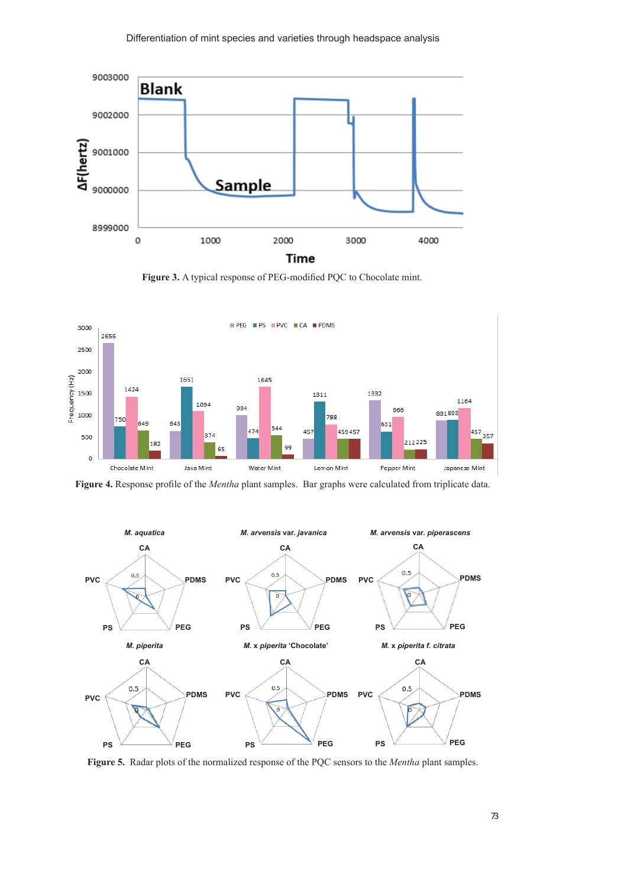

**Figure 3.** A typical response of PEG-modified PQC to Chocolate mint.



**Figure 4.** Response profile of the *Mentha* plant samples. Bar graphs were calculated from triplicate data.



**Figure 5.** Radar plots of the normalized response of the PQC sensors to the *Mentha* plant samples.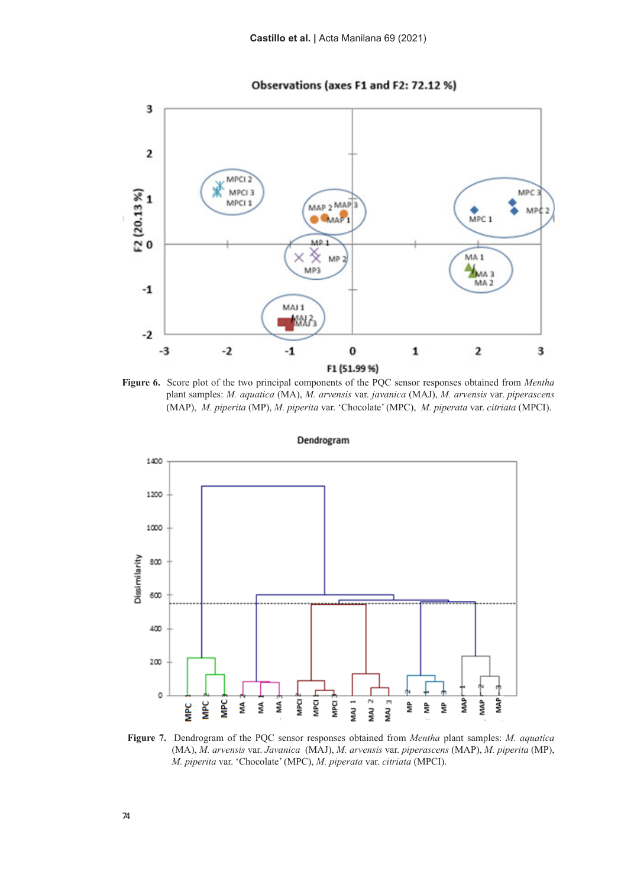



**Figure 6.** Score plot of the two principal components of the PQC sensor responses obtained from *Mentha*  plant samples: *M. aquatica* (MA), *M. arvensis* var. *javanica* (MAJ), *M. arvensis* var. *piperascens* (MAP), *M. piperita* (MP), *M. piperita* var. 'Chocolate' (MPC), *M. piperata* var. *citriata* (MPCI).



Dendrogram

**Figure 7.** Dendrogram of the PQC sensor responses obtained from *Mentha* plant samples: *M. aquatica* (MA), *M. arvensis* var. *Javanica* (MAJ), *M. arvensis* var. *piperascens* (MAP), *M. piperita* (MP), *M. piperita* var. 'Chocolate' (MPC), *M. piperata* var. *citriata* (MPCI).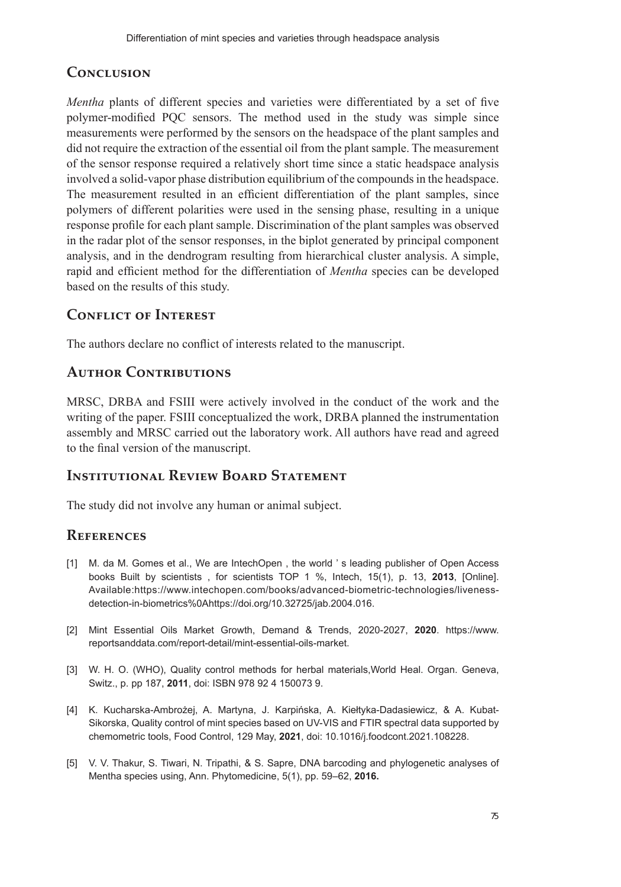# **Conclusion**

*Mentha* plants of different species and varieties were differentiated by a set of five polymer-modified PQC sensors. The method used in the study was simple since measurements were performed by the sensors on the headspace of the plant samples and did not require the extraction of the essential oil from the plant sample. The measurement of the sensor response required a relatively short time since a static headspace analysis involved a solid-vapor phase distribution equilibrium of the compounds in the headspace. The measurement resulted in an efficient differentiation of the plant samples, since polymers of different polarities were used in the sensing phase, resulting in a unique response profile for each plant sample. Discrimination of the plant samples was observed in the radar plot of the sensor responses, in the biplot generated by principal component analysis, and in the dendrogram resulting from hierarchical cluster analysis. A simple, rapid and efficient method for the differentiation of *Mentha* species can be developed based on the results of this study.

## **Conflict of Interest**

The authors declare no conflict of interests related to the manuscript.

## **Author Contributions**

MRSC, DRBA and FSIII were actively involved in the conduct of the work and the writing of the paper. FSIII conceptualized the work, DRBA planned the instrumentation assembly and MRSC carried out the laboratory work. All authors have read and agreed to the final version of the manuscript.

# **Institutional Review Board Statement**

The study did not involve any human or animal subject.

#### **References**

- [1] M. da M. Gomes et al., We are IntechOpen , the world ' s leading publisher of Open Access books Built by scientists , for scientists TOP 1 %, Intech, 15(1), p. 13, **2013**, [Online]. Available:https://www.intechopen.com/books/advanced-biometric-technologies/livenessdetection-in-biometrics%0Ahttps://doi.org/10.32725/jab.2004.016.
- [2] Mint Essential Oils Market Growth, Demand & Trends, 2020-2027, **2020**. https://www. reportsanddata.com/report-detail/mint-essential-oils-market.
- [3] W. H. O. (WHO), Quality control methods for herbal materials,World Heal. Organ. Geneva, Switz., p. pp 187, **2011**, doi: ISBN 978 92 4 150073 9.
- [4] K. Kucharska-Ambrożej, A. Martyna, J. Karpińska, A. Kiełtyka-Dadasiewicz, & A. Kubat-Sikorska, Quality control of mint species based on UV-VIS and FTIR spectral data supported by chemometric tools, Food Control, 129 May, **2021**, doi: 10.1016/j.foodcont.2021.108228.
- [5] V. V. Thakur, S. Tiwari, N. Tripathi, & S. Sapre, DNA barcoding and phylogenetic analyses of Mentha species using, Ann. Phytomedicine, 5(1), pp. 59–62, **2016.**